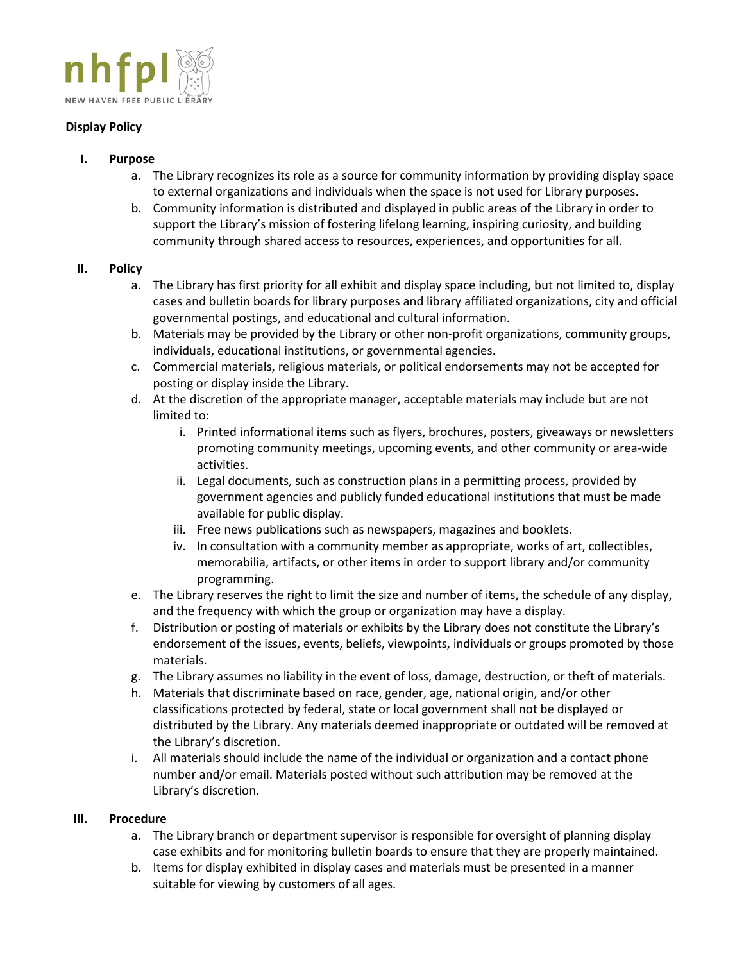

## **Display Policy**

- **I. Purpose**
	- a. The Library recognizes its role as a source for community information by providing display space to external organizations and individuals when the space is not used for Library purposes.
	- b. Community information is distributed and displayed in public areas of the Library in order to support the Library's mission of fostering lifelong learning, inspiring curiosity, and building community through shared access to resources, experiences, and opportunities for all.

## **II. Policy**

- a. The Library has first priority for all exhibit and display space including, but not limited to, display cases and bulletin boards for library purposes and library affiliated organizations, city and official governmental postings, and educational and cultural information.
- b. Materials may be provided by the Library or other non-profit organizations, community groups, individuals, educational institutions, or governmental agencies.
- c. Commercial materials, religious materials, or political endorsements may not be accepted for posting or display inside the Library.
- d. At the discretion of the appropriate manager, acceptable materials may include but are not limited to:
	- i. Printed informational items such as flyers, brochures, posters, giveaways or newsletters promoting community meetings, upcoming events, and other community or area-wide activities.
	- ii. Legal documents, such as construction plans in a permitting process, provided by government agencies and publicly funded educational institutions that must be made available for public display.
	- iii. Free news publications such as newspapers, magazines and booklets.
	- iv. In consultation with a community member as appropriate, works of art, collectibles, memorabilia, artifacts, or other items in order to support library and/or community programming.
- e. The Library reserves the right to limit the size and number of items, the schedule of any display, and the frequency with which the group or organization may have a display.
- f. Distribution or posting of materials or exhibits by the Library does not constitute the Library's endorsement of the issues, events, beliefs, viewpoints, individuals or groups promoted by those materials.
- g. The Library assumes no liability in the event of loss, damage, destruction, or theft of materials.
- h. Materials that discriminate based on race, gender, age, national origin, and/or other classifications protected by federal, state or local government shall not be displayed or distributed by the Library. Any materials deemed inappropriate or outdated will be removed at the Library's discretion.
- i. All materials should include the name of the individual or organization and a contact phone number and/or email. Materials posted without such attribution may be removed at the Library's discretion.

## **III. Procedure**

- a. The Library branch or department supervisor is responsible for oversight of planning display case exhibits and for monitoring bulletin boards to ensure that they are properly maintained.
- b. Items for display exhibited in display cases and materials must be presented in a manner suitable for viewing by customers of all ages.